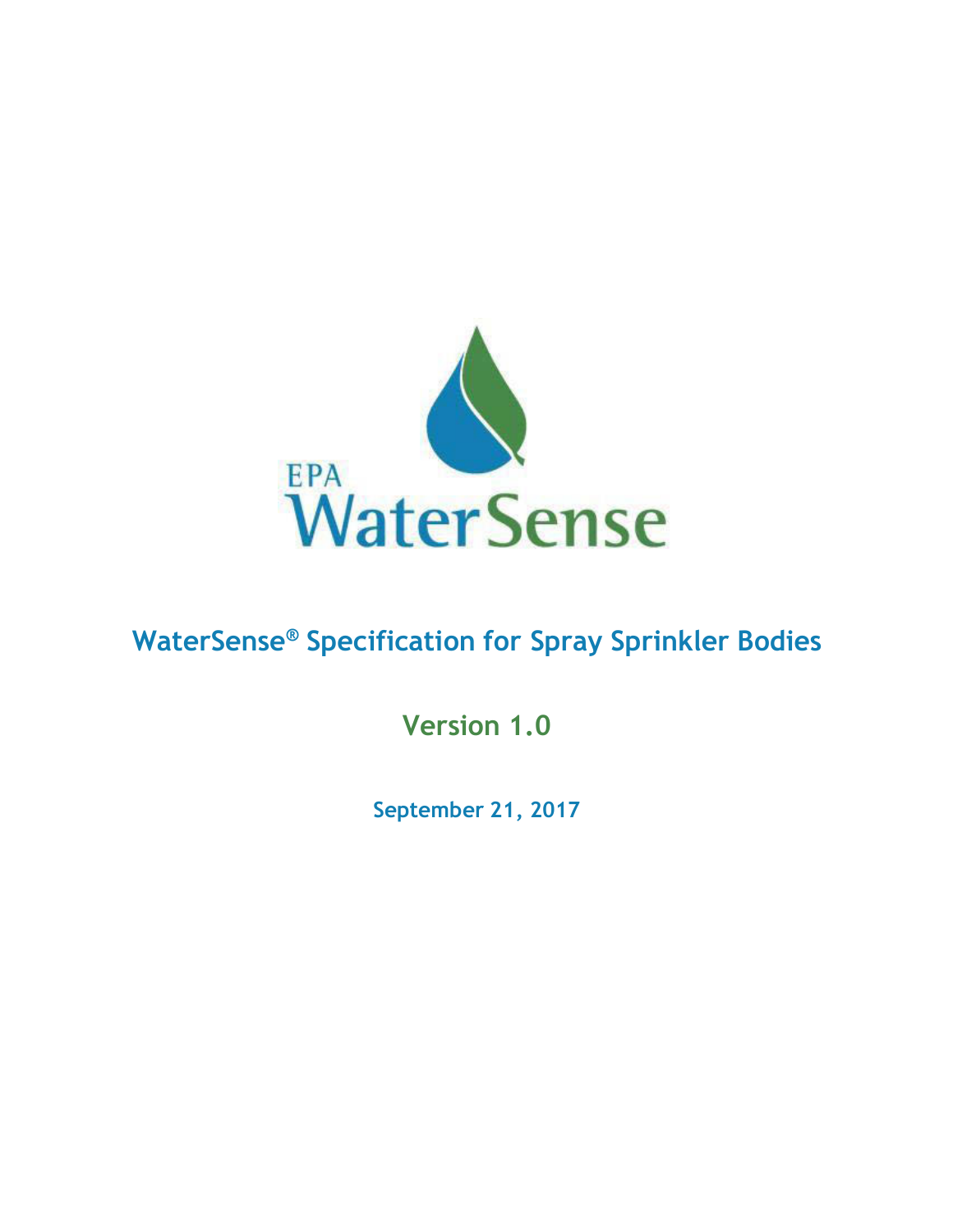

# **WaterSense ® Specification for Spray Sprinkler Bodies**

**Version 1.0**

**September 21, 2017**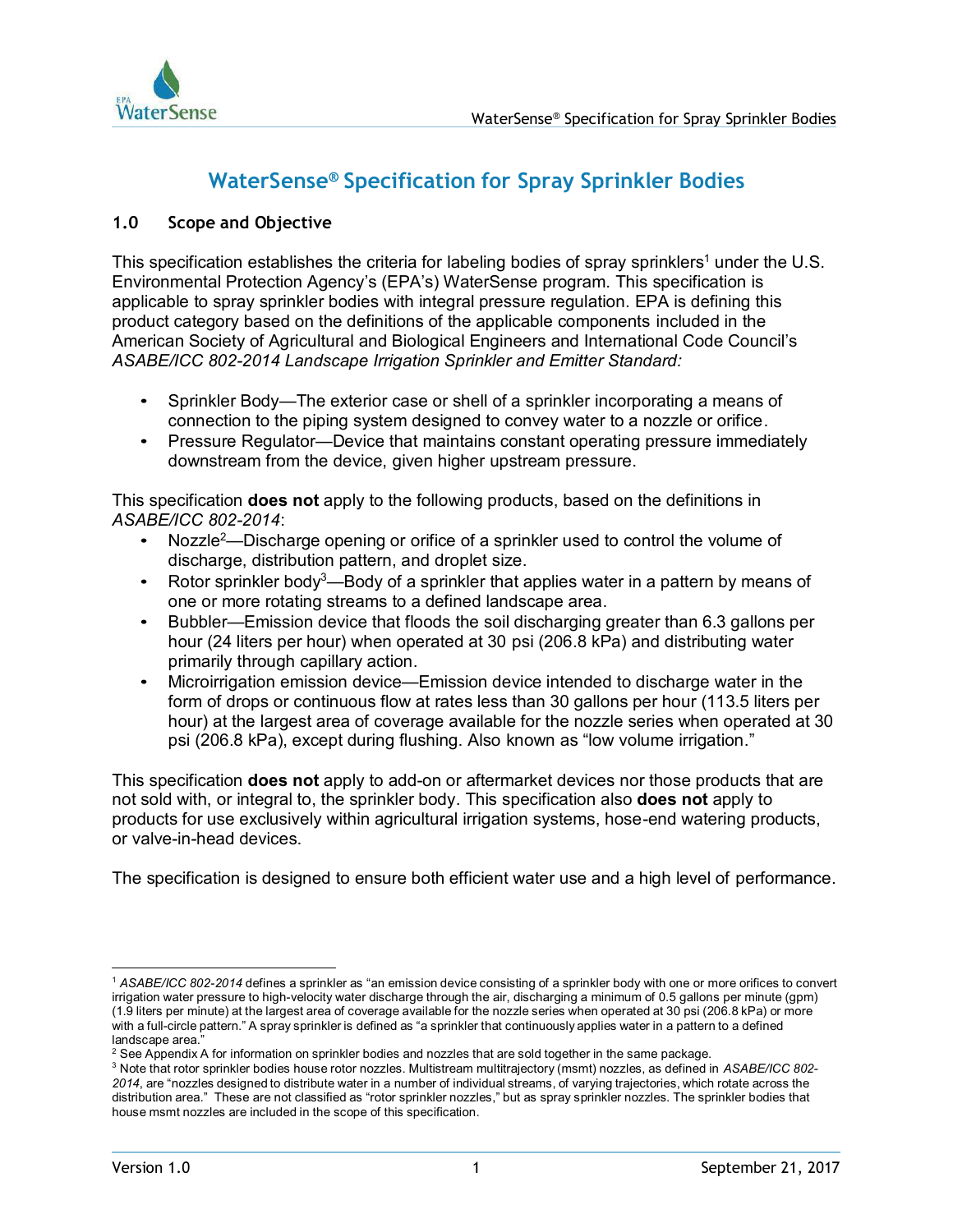

# **WaterSense ® Specification for Spray Sprinkler Bodies**

# **1.0 Scope and Objective**

This specification establishes the criteria for labeling bodies of spray sprinklers $^{\rm 1}$  under the U.S.  $\,$ Environmental Protection Agency's (EPA's) WaterSense program. This specification is applicable to spray sprinkler bodies with integral pressure regulation. EPA is defining this product category based on the definitions of the applicable components included in the American Society of Agricultural and Biological Engineers and International Code Council's *ASABE/ICC 802-2014 Landscape Irrigation Sprinkler and Emitter Standard:*

- Sprinkler Body—The exterior case or shell of a sprinkler incorporating a means of connection to the piping system designed to convey water to a nozzle or orifice.
- Pressure Regulator—Device that maintains constant operating pressure immediately downstream from the device, given higher upstream pressure.

This specification **does not** apply to the following products, based on the definitions in *ASABE/ICC 802-2014*:

- Nozzle<sup>2</sup>—Discharge opening or orifice of a sprinkler used to control the volume of discharge, distribution pattern, and droplet size.
- Rotor sprinkler body<sup>3</sup>—Body of a sprinkler that applies water in a pattern by means of one or more rotating streams to a defined landscape area.
- Bubbler—Emission device that floods the soil discharging greater than 6.3 gallons per hour (24 liters per hour) when operated at 30 psi (206.8 kPa) and distributing water primarily through capillary action.
- Microirrigation emission device—Emission device intended to discharge water in the form of drops or continuous flow at rates less than 30 gallons per hour (113.5 liters per hour) at the largest area of coverage available for the nozzle series when operated at 30 psi (206.8 kPa), except during flushing. Also known as "low volume irrigation."

This specification **does not** apply to add-on or aftermarket devices nor those products that are not sold with, or integral to, the sprinkler body. This specification also **does not** apply to products for use exclusively within agricultural irrigation systems, hose-end watering products, or valve-in-head devices.

The specification is designed to ensure both efficient water use and a high level of performance.

<sup>1</sup> *ASABE/ICC 802-2014* defines a sprinkler as "an emission device consisting of a sprinkler body with one or more orifices to convert irrigation water pressure to high-velocity water discharge through the air, discharging a minimum of 0.5 gallons per minute (gpm) (1.9 liters per minute) at the largest area of coverage available for the nozzle series when operated at 30 psi (206.8 kPa) or more with a full-circle pattern." A spray sprinkler is defined as "a sprinkler that continuously applies water in a pattern to a defined landscape area."

<sup>&</sup>lt;sup>2</sup> See Appendix A for information on sprinkler bodies and nozzles that are sold together in the same package.

<sup>3</sup> Note that rotor sprinkler bodies house rotor nozzles. Multistream multitrajectory (msmt) nozzles, as defined in *ASABE/ICC 802- 2014*, are "nozzles designed to distribute water in a number of individual streams, of varying trajectories, which rotate across the distribution area." These are not classified as "rotor sprinkler nozzles," but as spray sprinkler nozzles. The sprinkler bodies that house msmt nozzles are included in the scope of this specification.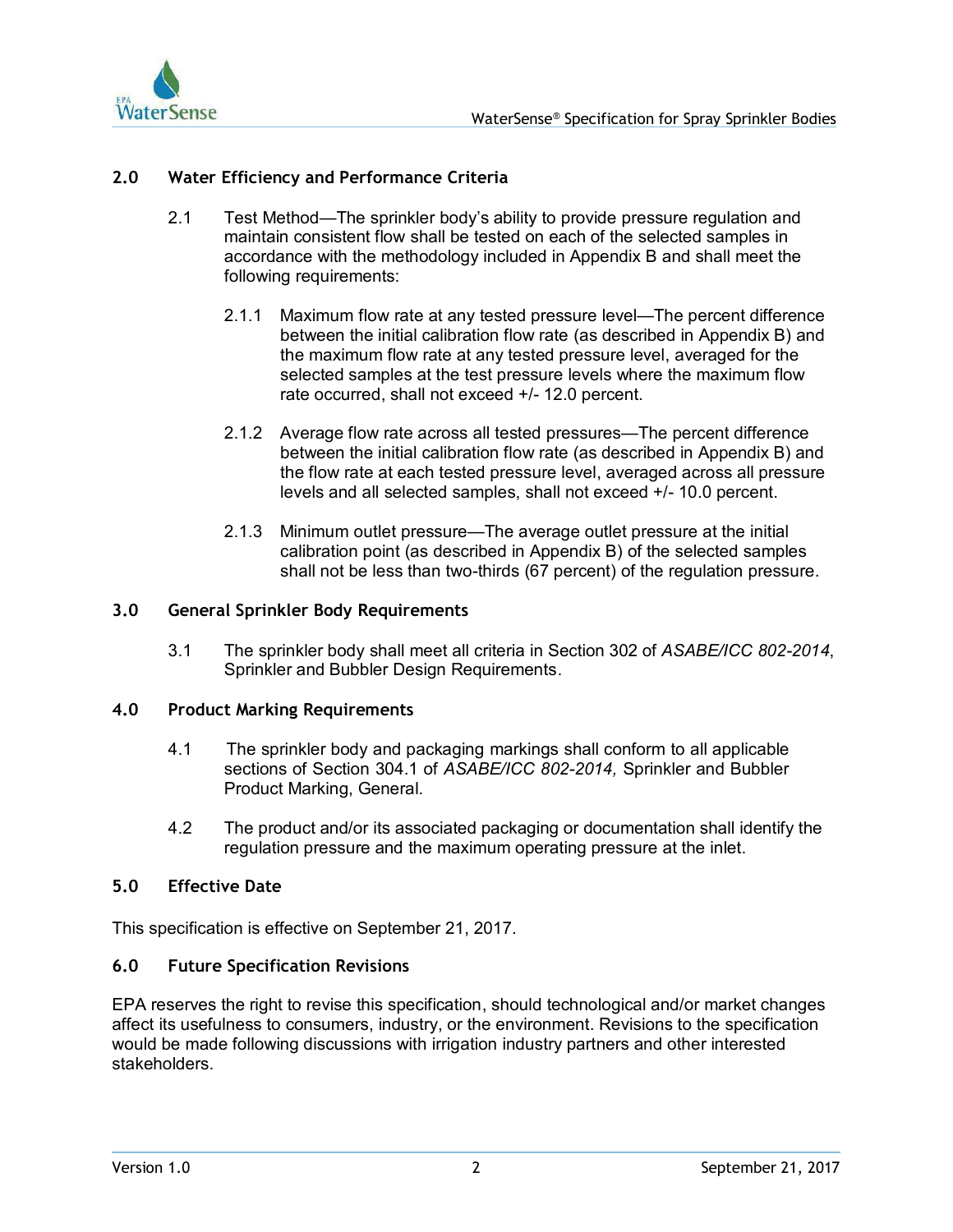

# **2.0 Water Efficiency and Performance Criteria**

- 2.1 Test Method—The sprinkler body's ability to provide pressure regulation and maintain consistent flow shall be tested on each of the selected samples in accordance with the methodology included in Appendix B and shall meet the following requirements:
	- 2.1.1 Maximum flow rate at any tested pressure level—The percent difference between the initial calibration flow rate (as described in Appendix B) and the maximum flow rate at any tested pressure level, averaged for the selected samples at the test pressure levels where the maximum flow rate occurred, shall not exceed +/- 12.0 percent.
	- 2.1.2 Average flow rate across all tested pressures—The percent difference between the initial calibration flow rate (as described in Appendix B) and the flow rate at each tested pressure level, averaged across all pressure levels and all selected samples, shall not exceed +/- 10.0 percent.
	- 2.1.3 Minimum outlet pressure—The average outlet pressure at the initial calibration point (as described in Appendix B) of the selected samples shall not be less than two-thirds (67 percent) of the regulation pressure.

#### **3.0 General Sprinkler Body Requirements**

3.1 The sprinkler body shall meet all criteria in Section 302 of *ASABE/ICC 802-2014*, Sprinkler and Bubbler Design Requirements.

#### **4.0 Product Marking Requirements**

- 4.1 The sprinkler body and packaging markings shall conform to all applicable sections of Section 304.1 of *ASABE/ICC 802-2014,* Sprinkler and Bubbler Product Marking, General*.*
- 4.2 The product and/or its associated packaging or documentation shall identify the regulation pressure and the maximum operating pressure at the inlet.

## **5.0 Effective Date**

This specification is effective on September 21, 2017.

## **6.0 Future Specification Revisions**

EPA reserves the right to revise this specification, should technological and/or market changes affect its usefulness to consumers, industry, or the environment. Revisions to the specification would be made following discussions with irrigation industry partners and other interested stakeholders.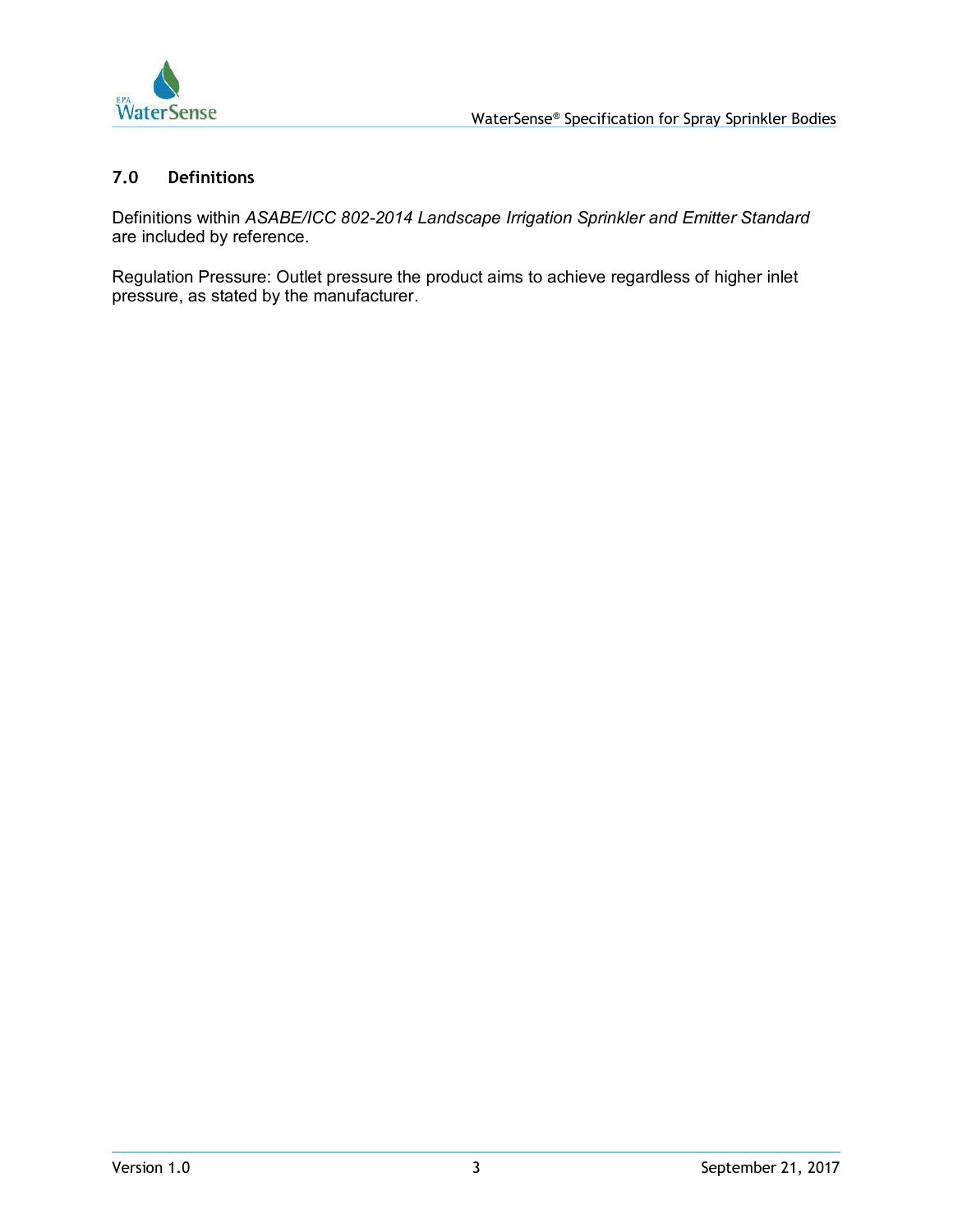

## **7.0 Definitions**

Definitions within *ASABE/ICC 802-2014 Landscape Irrigation Sprinkler and Emitter Standard* are included by reference.

Regulation Pressure: Outlet pressure the product aims to achieve regardless of higher inlet pressure, as stated by the manufacturer.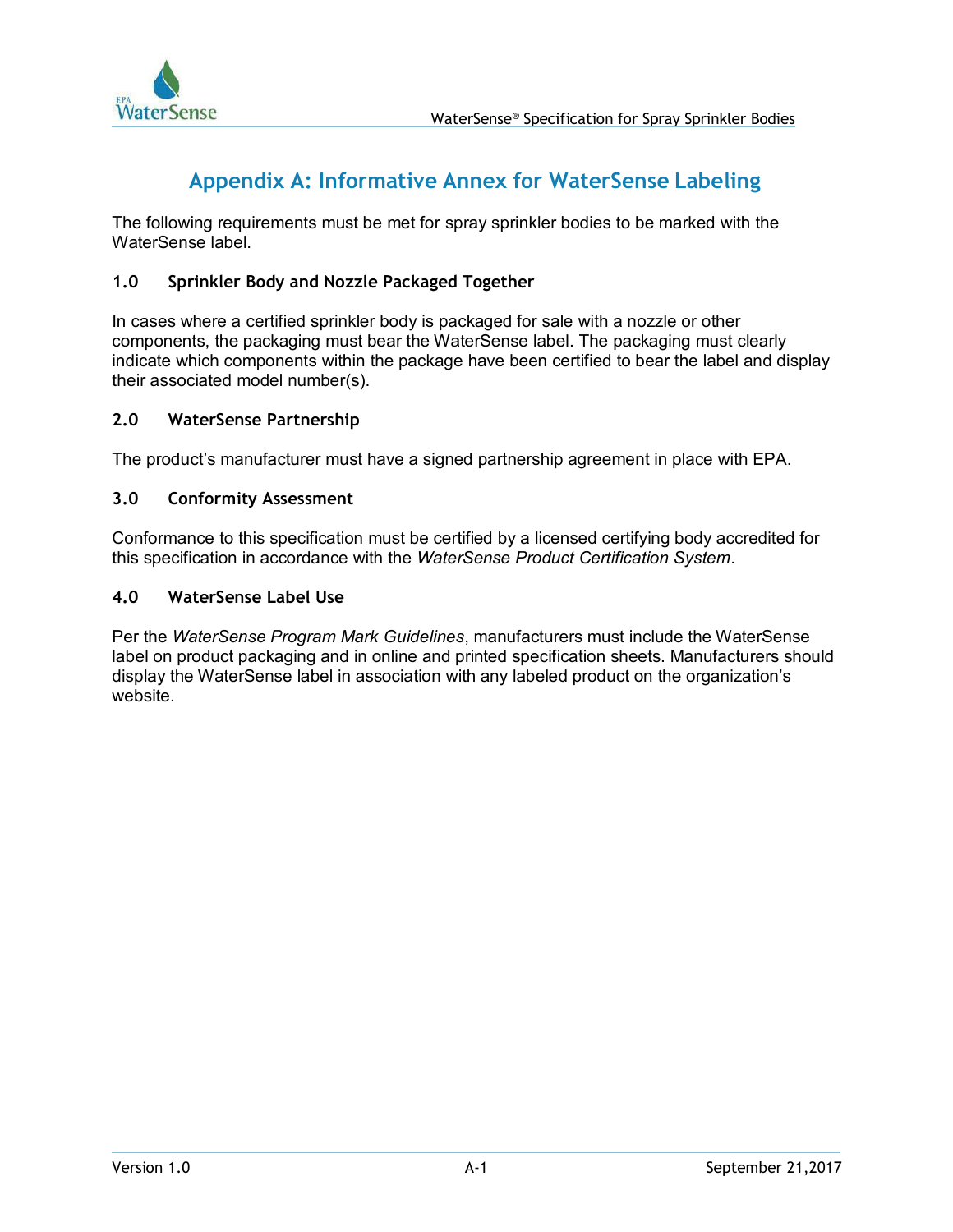

# **Appendix A: Informative Annex for WaterSense Labeling**

The following requirements must be met for spray sprinkler bodies to be marked with the WaterSense label.

# **1.0 Sprinkler Body and Nozzle Packaged Together**

In cases where a certified sprinkler body is packaged for sale with a nozzle or other components, the packaging must bear the WaterSense label. The packaging must clearly indicate which components within the package have been certified to bear the label and display their associated model number(s).

## **2.0 WaterSense Partnership**

The product's manufacturer must have a signed partnership agreement in place with EPA.

## **3.0 Conformity Assessment**

Conformance to this specification must be certified by a licensed certifying body accredited for this specification in accordance with the *WaterSense Product Certification System*.

## **4.0 WaterSense Label Use**

Per the *WaterSense Program Mark Guidelines*, manufacturers must include the WaterSense label on product packaging and in online and printed specification sheets. Manufacturers should display the WaterSense label in association with any labeled product on the organization's website.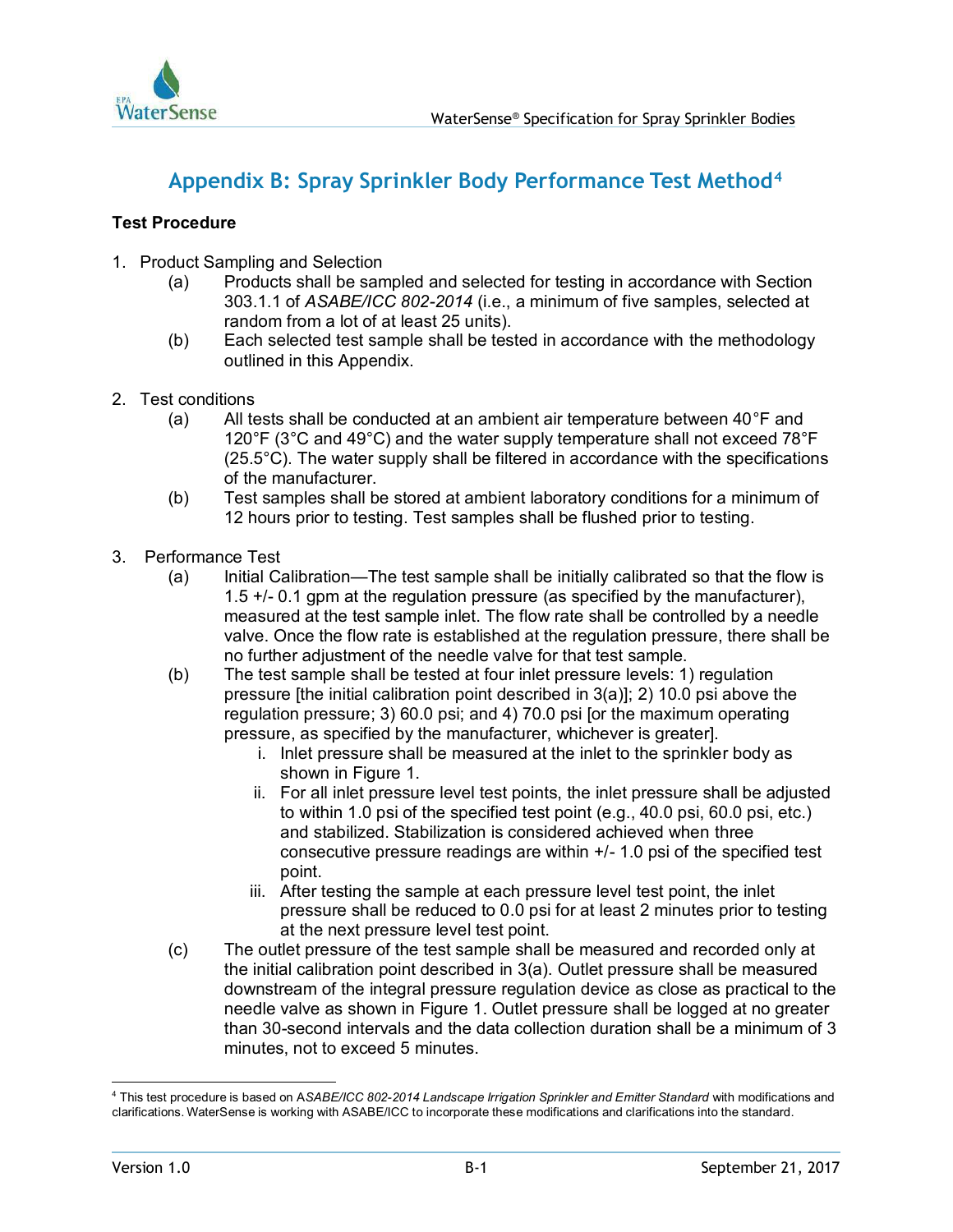

# **Appendix B: Spray Sprinkler Body Performance Test Method<sup>4</sup>**

# **Test Procedure**

- 1. Product Sampling and Selection
	- (a) Products shall be sampled and selected for testing in accordance with Section 303.1.1 of *ASABE/ICC 802-2014* (i.e., a minimum of five samples, selected at random from a lot of at least 25 units).
	- (b) Each selected test sample shall be tested in accordance with the methodology outlined in this Appendix.
- 2. Test conditions
	- (a) All tests shall be conducted at an ambient air temperature between 40°F and 120°F (3°C and 49°C) and the water supply temperature shall not exceed 78°F (25.5°C). The water supply shall be filtered in accordance with the specifications of the manufacturer.
	- (b) Test samples shall be stored at ambient laboratory conditions for a minimum of 12 hours prior to testing. Test samples shall be flushed prior to testing.
- 3. Performance Test
	- (a) Initial Calibration—The test sample shall be initially calibrated so that the flow is 1.5 +/- 0.1 gpm at the regulation pressure (as specified by the manufacturer), measured at the test sample inlet. The flow rate shall be controlled by a needle valve. Once the flow rate is established at the regulation pressure, there shall be no further adjustment of the needle valve for that test sample.
	- (b) The test sample shall be tested at four inlet pressure levels: 1) regulation pressure [the initial calibration point described in 3(a)]; 2) 10.0 psi above the regulation pressure; 3) 60.0 psi; and 4) 70.0 psi [or the maximum operating pressure, as specified by the manufacturer, whichever is greater].
		- i. Inlet pressure shall be measured at the inlet to the sprinkler body as shown in Figure 1.
		- ii. For all inlet pressure level test points, the inlet pressure shall be adjusted to within 1.0 psi of the specified test point (e.g., 40.0 psi, 60.0 psi, etc.) and stabilized. Stabilization is considered achieved when three consecutive pressure readings are within  $+/- 1.0$  psi of the specified test point.
		- iii. After testing the sample at each pressure level test point, the inlet pressure shall be reduced to 0.0 psi for at least 2 minutes prior to testing at the next pressure level test point.
	- (c) The outlet pressure of the test sample shall be measured and recorded only at the initial calibration point described in 3(a). Outlet pressure shall be measured downstream of the integral pressure regulation device as close as practical to the needle valve as shown in Figure 1. Outlet pressure shall be logged at no greater than 30-second intervals and the data collection duration shall be a minimum of 3 minutes, not to exceed 5 minutes.

<sup>4</sup> This test procedure is based on A*SABE/ICC 802-2014 Landscape Irrigation Sprinkler and Emitter Standard* with modifications and clarifications. WaterSense is working with ASABE/ICC to incorporate these modifications and clarifications into the standard.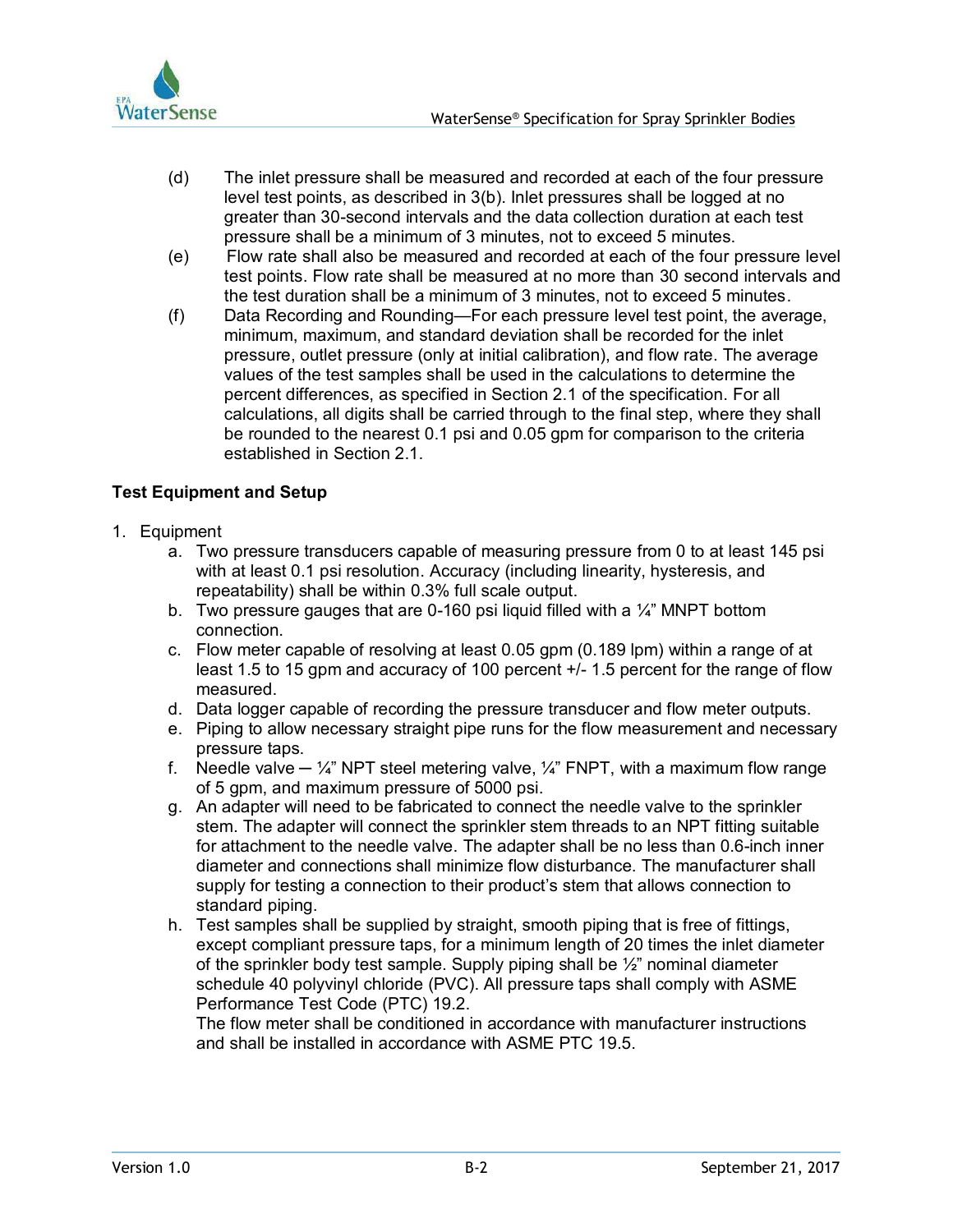

- (d) The inlet pressure shall be measured and recorded at each of the four pressure level test points, as described in 3(b). Inlet pressures shall be logged at no greater than 30-second intervals and the data collection duration at each test pressure shall be a minimum of 3 minutes, not to exceed 5 minutes.
- (e) Flow rate shall also be measured and recorded at each of the four pressure level test points. Flow rate shall be measured at no more than 30 second intervals and the test duration shall be a minimum of 3 minutes, not to exceed 5 minutes.
- (f) Data Recording and Rounding—For each pressure level test point, the average, minimum, maximum, and standard deviation shall be recorded for the inlet pressure, outlet pressure (only at initial calibration), and flow rate. The average values of the test samples shall be used in the calculations to determine the percent differences, as specified in Section 2.1 of the specification. For all calculations, all digits shall be carried through to the final step, where they shall be rounded to the nearest 0.1 psi and 0.05 gpm for comparison to the criteria established in Section 2.1.

# **Test Equipment and Setup**

- 1. Equipment
	- a. Two pressure transducers capable of measuring pressure from 0 to at least 145 psi with at least 0.1 psi resolution. Accuracy (including linearity, hysteresis, and repeatability) shall be within 0.3% full scale output.
	- b. Two pressure gauges that are 0-160 psi liquid filled with a  $\frac{1}{4}$ " MNPT bottom connection.
	- c. Flow meter capable of resolving at least 0.05 gpm (0.189 lpm) within a range of at least 1.5 to 15 gpm and accuracy of 100 percent +/- 1.5 percent for the range of flow measured.
	- d. Data logger capable of recording the pressure transducer and flow meter outputs.
	- e. Piping to allow necessary straight pipe runs for the flow measurement and necessary pressure taps.
	- f. Needle valve  $-\frac{1}{4}$ " NPT steel metering valve,  $\frac{1}{4}$ " FNPT, with a maximum flow range of 5 gpm, and maximum pressure of 5000 psi.
	- g. An adapter will need to be fabricated to connect the needle valve to the sprinkler stem. The adapter will connect the sprinkler stem threads to an NPT fitting suitable for attachment to the needle valve. The adapter shall be no less than 0.6-inch inner diameter and connections shall minimize flow disturbance. The manufacturer shall supply for testing a connection to their product's stem that allows connection to standard piping.
	- h. Test samples shall be supplied by straight, smooth piping that is free of fittings, except compliant pressure taps, for a minimum length of 20 times the inlet diameter of the sprinkler body test sample. Supply piping shall be  $\frac{1}{2}$ " nominal diameter schedule 40 polyvinyl chloride (PVC). All pressure taps shall comply with ASME Performance Test Code (PTC) 19.2.

The flow meter shall be conditioned in accordance with manufacturer instructions and shall be installed in accordance with ASME PTC 19.5.